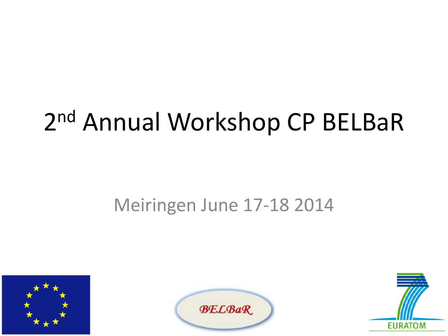### 2nd Annual Workshop CP BELBaR

#### Meiringen June 17-18 2014





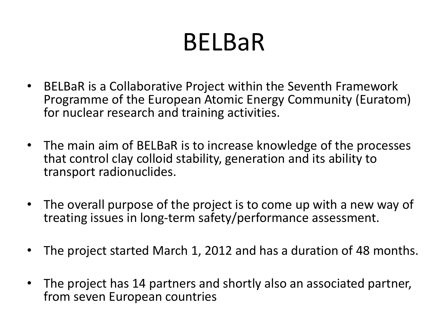#### BELBaR

- BELBaR is a Collaborative Project within the Seventh Framework Programme of the European Atomic Energy Community (Euratom) for nuclear research and training activities.
- The main aim of BELBaR is to increase knowledge of the processes that control clay colloid stability, generation and its ability to transport radionuclides.
- The overall purpose of the project is to come up with a new way of treating issues in long-term safety/performance assessment.
- The project started March 1, 2012 and has a duration of 48 months.
- The project has 14 partners and shortly also an associated partner, from seven European countries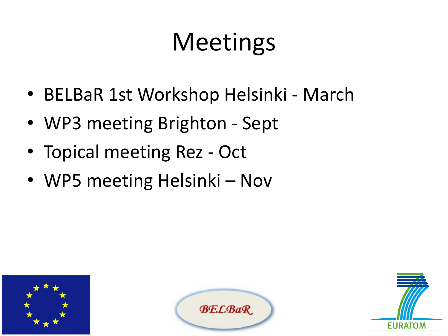## **Meetings**

- BELBaR 1st Workshop Helsinki March
- WP3 meeting Brighton Sept
- Topical meeting Rez Oct
- WP5 meeting Helsinki Nov





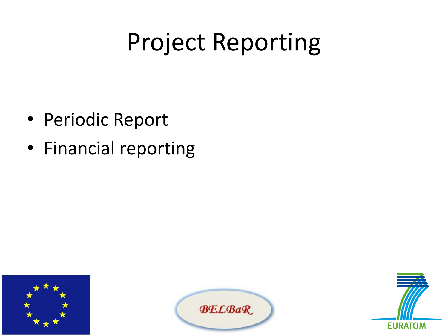#### Project Reporting

- Periodic Report
- Financial reporting





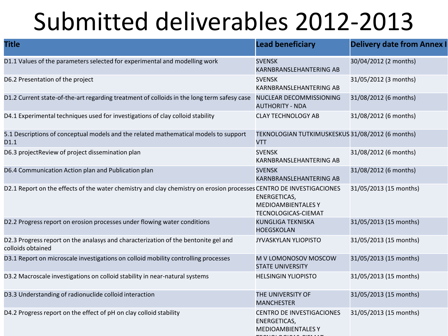#### Submitted deliverables 2012-2013

| <b>Title</b>                                                                                                        | <b>Lead beneficiary</b>                                                             | <b>Delivery date from Annex I</b> |
|---------------------------------------------------------------------------------------------------------------------|-------------------------------------------------------------------------------------|-----------------------------------|
| D1.1 Values of the parameters selected for experimental and modelling work                                          | <b>SVENSK</b><br><b>KARNBRANSLEHANTERING AB</b>                                     | 30/04/2012 (2 months)             |
| D6.2 Presentation of the project                                                                                    | <b>SVENSK</b><br><b>KARNBRANSLEHANTERING AB</b>                                     | 31/05/2012 (3 months)             |
| D1.2 Current state-of-the-art regarding treatment of colloids in the long term safesy case                          | NUCLEAR DECOMMISSIONING<br><b>AUTHORITY - NDA</b>                                   | 31/08/2012 (6 months)             |
| D4.1 Experimental techniques used for investigations of clay colloid stability                                      | <b>CLAY TECHNOLOGY AB</b>                                                           | 31/08/2012 (6 months)             |
| 5.1 Descriptions of conceptual models and the related mathematical models to support<br>D1.1                        | TEKNOLOGIAN TUTKIMUSKESKUS 31/08/2012 (6 months)<br><b>VTT</b>                      |                                   |
| D6.3 projectReview of project dissemination plan                                                                    | <b>SVENSK</b><br><b>KARNBRANSLEHANTERING AB</b>                                     | 31/08/2012 (6 months)             |
| D6.4 Communication Action plan and Publication plan                                                                 | <b>SVENSK</b><br><b>KARNBRANSLEHANTERING AB</b>                                     | 31/08/2012 (6 months)             |
| D2.1 Report on the effects of the water chemistry and clay chemistry on erosion processes CENTRO DE INVESTIGACIONES | ENERGETICAS,<br><b>MEDIOAMBIENTALESY</b><br><b>TECNOLOGICAS-CIEMAT</b>              | 31/05/2013 (15 months)            |
| D2.2 Progress report on erosion processes under flowing water conditions                                            | <b>KUNGLIGA TEKNISKA</b><br><b>HOEGSKOLAN</b>                                       | 31/05/2013 (15 months)            |
| D2.3 Progress report on the analasys and characterization of the bentonite gel and<br>colloids obtained             | <b>JYVASKYLAN YLIOPISTO</b>                                                         | 31/05/2013 (15 months)            |
| D3.1 Report on microscale investigations on colloid mobility controlling processes                                  | M V LOMONOSOV MOSCOW<br><b>STATE UNIVERSITY</b>                                     | 31/05/2013 (15 months)            |
| D3.2 Macroscale investigations on colloid stability in near-natural systems                                         | <b>HELSINGIN YLIOPISTO</b>                                                          | 31/05/2013 (15 months)            |
| D3.3 Understanding of radionuclide colloid interaction                                                              | THE UNIVERSITY OF<br><b>MANCHESTER</b>                                              | 31/05/2013 (15 months)            |
| D4.2 Progress report on the effect of pH on clay colloid stability                                                  | <b>CENTRO DE INVESTIGACIONES</b><br><b>ENERGETICAS,</b><br><b>MEDIOAMBIENTALESY</b> | 31/05/2013 (15 months)            |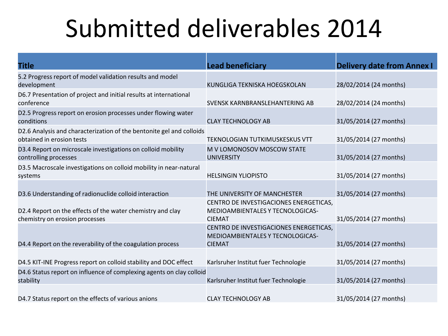#### Submitted deliverables 2014

| <b>Title</b>                                                                                      | <b>Lead beneficiary</b>                                                                     | <b>Delivery date from Annex I</b> |
|---------------------------------------------------------------------------------------------------|---------------------------------------------------------------------------------------------|-----------------------------------|
| 5.2 Progress report of model validation results and model<br>development                          | KUNGLIGA TEKNISKA HOEGSKOLAN                                                                | 28/02/2014 (24 months)            |
| D6.7 Presentation of project and initial results at international<br>conference                   | SVENSK KARNBRANSLEHANTERING AB                                                              | 28/02/2014 (24 months)            |
| D2.5 Progress report on erosion processes under flowing water<br>conditions                       | <b>CLAY TECHNOLOGY AB</b>                                                                   | 31/05/2014 (27 months)            |
| D2.6 Analysis and characterization of the bentonite gel and colloids<br>obtained in erosion tests | <b>TEKNOLOGIAN TUTKIMUSKESKUS VTT</b>                                                       | 31/05/2014 (27 months)            |
| D3.4 Report on microscale investigations on colloid mobility<br>controlling processes             | M V LOMONOSOV MOSCOW STATE<br><b>UNIVERSITY</b>                                             | 31/05/2014 (27 months)            |
| D3.5 Macroscale investigations on colloid mobility in near-natural<br>systems                     | <b>HELSINGIN YLIOPISTO</b>                                                                  | 31/05/2014 (27 months)            |
| D3.6 Understanding of radionuclide colloid interaction                                            | THE UNIVERSITY OF MANCHESTER                                                                | 31/05/2014 (27 months)            |
| D2.4 Report on the effects of the water chemistry and clay<br>chemistry on erosion processes      | CENTRO DE INVESTIGACIONES ENERGETICAS,<br>MEDIOAMBIENTALES Y TECNOLOGICAS-<br><b>CIEMAT</b> | 31/05/2014 (27 months)            |
| D4.4 Report on the reverability of the coagulation process                                        | CENTRO DE INVESTIGACIONES ENERGETICAS,<br>MEDIOAMBIENTALES Y TECNOLOGICAS-<br><b>CIEMAT</b> | 31/05/2014 (27 months)            |
| D4.5 KIT-INE Progress report on colloid stability and DOC effect                                  | Karlsruher Institut fuer Technologie                                                        | 31/05/2014 (27 months)            |
| D4.6 Status report on influence of complexing agents on clay colloid<br>stability                 | Karlsruher Institut fuer Technologie                                                        | 31/05/2014 (27 months)            |
| D4.7 Status report on the effects of various anions                                               | <b>CLAY TECHNOLOGY AB</b>                                                                   | 31/05/2014 (27 months)            |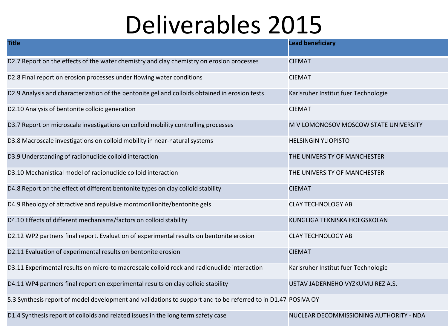#### Deliverables 2015

| <b>Title</b>                                                                                                  | <b>Lead beneficiary</b>                 |
|---------------------------------------------------------------------------------------------------------------|-----------------------------------------|
| D2.7 Report on the effects of the water chemistry and clay chemistry on erosion processes                     | <b>CIEMAT</b>                           |
| D2.8 Final report on erosion processes under flowing water conditions                                         | <b>CIEMAT</b>                           |
| D2.9 Analysis and characterization of the bentonite gel and colloids obtained in erosion tests                | Karlsruher Institut fuer Technologie    |
| D2.10 Analysis of bentonite colloid generation                                                                | <b>CIEMAT</b>                           |
| D3.7 Report on microscale investigations on colloid mobility controlling processes                            | M V LOMONOSOV MOSCOW STATE UNIVERSITY   |
| D3.8 Macroscale investigations on colloid mobility in near-natural systems                                    | <b>HELSINGIN YLIOPISTO</b>              |
| D3.9 Understanding of radionuclide colloid interaction                                                        | THE UNIVERSITY OF MANCHESTER            |
| D3.10 Mechanistical model of radionuclide colloid interaction                                                 | THE UNIVERSITY OF MANCHESTER            |
| D4.8 Report on the effect of different bentonite types on clay colloid stability                              | <b>CIEMAT</b>                           |
| D4.9 Rheology of attractive and repulsive montmorillonite/bentonite gels                                      | <b>CLAY TECHNOLOGY AB</b>               |
| D4.10 Effects of different mechanisms/factors on colloid stability                                            | KUNGLIGA TEKNISKA HOEGSKOLAN            |
| D2.12 WP2 partners final report. Evaluation of experimental results on bentonite erosion                      | <b>CLAY TECHNOLOGY AB</b>               |
| D2.11 Evaluation of experimental results on bentonite erosion                                                 | <b>CIEMAT</b>                           |
| D3.11 Experimental results on micro-to macroscale colloid rock and radionuclide interaction                   | Karlsruher Institut fuer Technologie    |
| D4.11 WP4 partners final report on experimental results on clay colloid stability                             | USTAV JADERNEHO VYZKUMU REZ A.S.        |
| 5.3 Synthesis report of model development and validations to support and to be referred to in D1.47 POSIVA OY |                                         |
| D1.4 Synthesis report of colloids and related issues in the long term safety case                             | NUCLEAR DECOMMISSIONING AUTHORITY - NDA |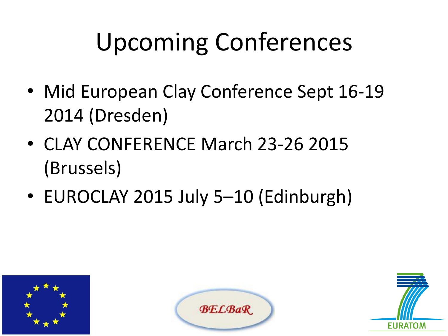# Upcoming Conferences

- Mid European Clay Conference Sept 16-19 2014 (Dresden)
- CLAY CONFERENCE March 23-26 2015 (Brussels)
- EUROCLAY 2015 July 5–10 (Edinburgh)





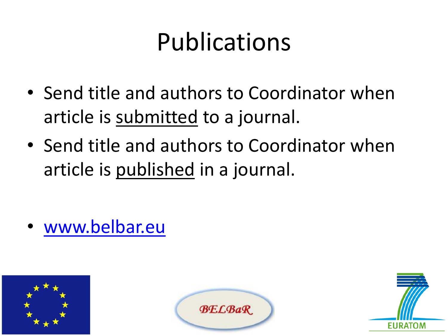### Publications

- Send title and authors to Coordinator when article is submitted to a journal.
- Send title and authors to Coordinator when article is published in a journal.

• [www.belbar.eu](http://www.belbar.eu/)